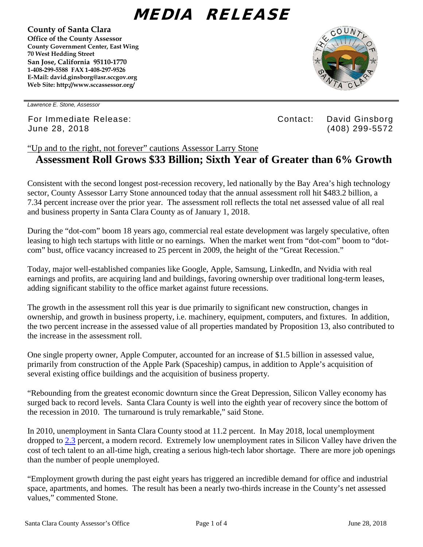## MEDIA RELEASE

**County of Santa Clara Office of the County Assessor County Government Center, East Wing 70 West Hedding Street San Jose, California 95110-1770 1-408-299-5588 FAX 1-408-297-9526 E-Mail: david.ginsborg@asr.sccgov.org Web Site: http://www.sccassessor.org/** 



*Lawrence E. Stone, Assessor*

For Immediate Release: Contact: David Ginsborg June 28, 2018 (408) 299-5572

## "Up and to the right, not forever" cautions Assessor Larry Stone **Assessment Roll Grows \$33 Billion; Sixth Year of Greater than 6% Growth**

Consistent with the second longest post-recession recovery, led nationally by the Bay Area's high technology sector, County Assessor Larry Stone announced today that the annual assessment roll hit \$483.2 billion, a 7.34 percent increase over the prior year. The assessment roll reflects the total net assessed value of all real and business property in Santa Clara County as of January 1, 2018.

During the "dot-com" boom 18 years ago, commercial real estate development was largely speculative, often leasing to high tech startups with little or no earnings. When the market went from "dot-com" boom to "dotcom" bust, office vacancy increased to 25 percent in 2009, the height of the "Great Recession."

Today, major well-established companies like Google, Apple, Samsung, LinkedIn, and Nvidia with real earnings and profits, are acquiring land and buildings, favoring ownership over traditional long-term leases, adding significant stability to the office market against future recessions.

The growth in the assessment roll this year is due primarily to significant new construction, changes in ownership, and growth in business property, i.e. machinery, equipment, computers, and fixtures. In addition, the two percent increase in the assessed value of all properties mandated by Proposition 13, also contributed to the increase in the assessment roll.

One single property owner, Apple Computer, accounted for an increase of \$1.5 billion in assessed value, primarily from construction of the Apple Park (Spaceship) campus, in addition to Apple's acquisition of several existing office buildings and the acquisition of business property.

"Rebounding from the greatest economic downturn since the Great Depression, Silicon Valley economy has surged back to record levels. Santa Clara County is well into the eighth year of recovery since the bottom of the recession in 2010. The turnaround is truly remarkable," said Stone.

In 2010, unemployment in Santa Clara County stood at 11.2 percent. In May 2018, local unemployment dropped to [2.3](http://www.labormarketinfo.edd.ca.gov/file/lfmonth/sjos$pds.pdf) percent, a modern record. Extremely low unemployment rates in Silicon Valley have driven the cost of tech talent to an all-time high, creating a serious high-tech labor shortage. There are more job openings than the number of people unemployed.

"Employment growth during the past eight years has triggered an incredible demand for office and industrial space, apartments, and homes. The result has been a nearly two-thirds increase in the County's net assessed values," commented Stone.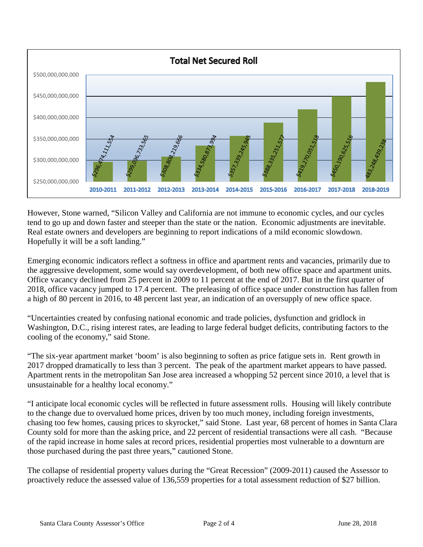

However, Stone warned, "Silicon Valley and California are not immune to economic cycles, and our cycles tend to go up and down faster and steeper than the state or the nation. Economic adjustments are inevitable. Real estate owners and developers are beginning to report indications of a mild economic slowdown. Hopefully it will be a soft landing."

Emerging economic indicators reflect a softness in office and apartment rents and vacancies, primarily due to the aggressive development, some would say overdevelopment, of both new office space and apartment units. Office vacancy declined from 25 percent in 2009 to 11 percent at the end of 2017. But in the first quarter of 2018, office vacancy jumped to 17.4 percent. The preleasing of office space under construction has fallen from a high of 80 percent in 2016, to 48 percent last year, an indication of an oversupply of new office space.

"Uncertainties created by confusing national economic and trade policies, dysfunction and gridlock in Washington, D.C., rising interest rates, are leading to large federal budget deficits, contributing factors to the cooling of the economy," said Stone.

"The six-year apartment market 'boom' is also beginning to soften as price fatigue sets in. Rent growth in 2017 dropped dramatically to less than 3 percent. The peak of the apartment market appears to have passed. Apartment rents in the metropolitan San Jose area increased a whopping 52 percent since 2010, a level that is unsustainable for a healthy local economy."

"I anticipate local economic cycles will be reflected in future assessment rolls. Housing will likely contribute to the change due to overvalued home prices, driven by too much money, including foreign investments, chasing too few homes, causing prices to skyrocket," said Stone. Last year, 68 percent of homes in Santa Clara County sold for more than the asking price, and 22 percent of residential transactions were all cash. "Because of the rapid increase in home sales at record prices, residential properties most vulnerable to a downturn are those purchased during the past three years," cautioned Stone.

The collapse of residential property values during the "Great Recession" (2009-2011) caused the Assessor to proactively reduce the assessed value of 136,559 properties for a total assessment reduction of \$27 billion.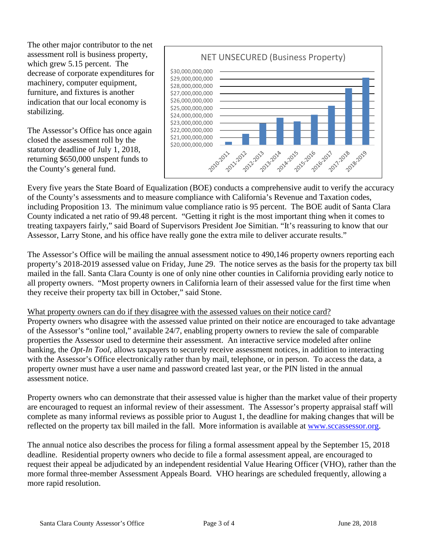The other major contributor to the net assessment roll is business property, which grew 5.15 percent. The decrease of corporate expenditures for machinery, computer equipment, furniture, and fixtures is another indication that our local economy is stabilizing.

The Assessor's Office has once again closed the assessment roll by the statutory deadline of July 1, 2018, returning \$650,000 unspent funds to the County's general fund.



Every five years the State Board of Equalization (BOE) conducts a comprehensive audit to verify the accuracy of the County's assessments and to measure compliance with California's Revenue and Taxation codes, including Proposition 13. The minimum value compliance ratio is 95 percent. The BOE audit of Santa Clara County indicated a net ratio of 99.48 percent. "Getting it right is the most important thing when it comes to treating taxpayers fairly," said Board of Supervisors President Joe Simitian. "It's reassuring to know that our Assessor, Larry Stone, and his office have really gone the extra mile to deliver accurate results."

The Assessor's Office will be mailing the annual assessment notice to 490,146 property owners reporting each property's 2018-2019 assessed value on Friday, June 29. The notice serves as the basis for the property tax bill mailed in the fall. Santa Clara County is one of only nine other counties in California providing early notice to all property owners. "Most property owners in California learn of their assessed value for the first time when they receive their property tax bill in October," said Stone.

## What property owners can do if they disagree with the assessed values on their notice card?

Property owners who disagree with the assessed value printed on their notice are encouraged to take advantage of the Assessor's "online tool," available 24/7, enabling property owners to review the sale of comparable properties the Assessor used to determine their assessment. An interactive service modeled after online banking, the *Opt-In Tool*, allows taxpayers to securely receive assessment notices, in addition to interacting with the Assessor's Office electronically rather than by mail, telephone, or in person. To access the data, a property owner must have a user name and password created last year, or the PIN listed in the annual assessment notice.

Property owners who can demonstrate that their assessed value is higher than the market value of their property are encouraged to request an informal review of their assessment. The Assessor's property appraisal staff will complete as many informal reviews as possible prior to August 1, the deadline for making changes that will be reflected on the property tax bill mailed in the fall. More information is available at [www.sccassessor.org.](http://www.sccassessor.org/)

The annual notice also describes the process for filing a formal assessment appeal by the September 15, 2018 deadline. Residential property owners who decide to file a formal assessment appeal, are encouraged to request their appeal be adjudicated by an independent residential Value Hearing Officer (VHO), rather than the more formal three-member Assessment Appeals Board. VHO hearings are scheduled frequently, allowing a more rapid resolution.